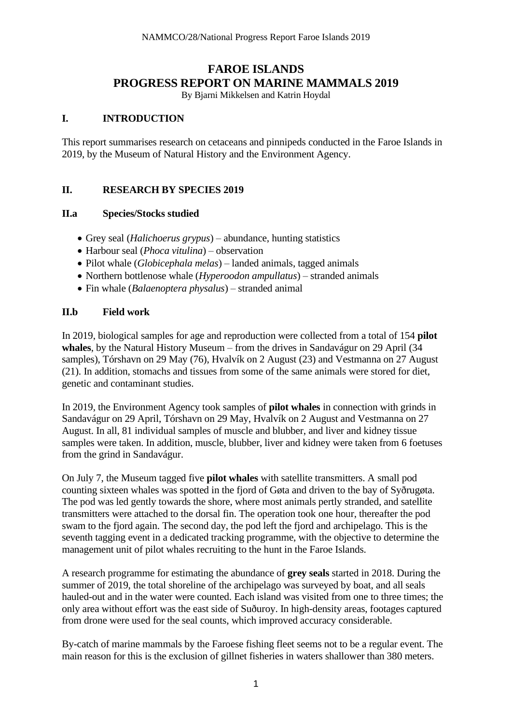# **FAROE ISLANDS PROGRESS REPORT ON MARINE MAMMALS 2019**

By Bjarni Mikkelsen and Katrin Hoydal

#### **I. INTRODUCTION**

This report summarises research on cetaceans and pinnipeds conducted in the Faroe Islands in 2019, by the Museum of Natural History and the Environment Agency.

#### **II. RESEARCH BY SPECIES 2019**

#### **II.a Species/Stocks studied**

- Grey seal (*Halichoerus grypus*) abundance, hunting statistics
- Harbour seal (*Phoca vitulina*) observation
- Pilot whale (*Globicephala melas*) landed animals, tagged animals
- Northern bottlenose whale (*Hyperoodon ampullatus*) stranded animals
- Fin whale (*Balaenoptera physalus*) stranded animal

#### **II.b Field work**

In 2019, biological samples for age and reproduction were collected from a total of 154 **pilot whales**, by the Natural History Museum – from the drives in Sandavágur on 29 April (34 samples), Tórshavn on 29 May (76), Hvalvík on 2 August (23) and Vestmanna on 27 August (21). In addition, stomachs and tissues from some of the same animals were stored for diet, genetic and contaminant studies.

In 2019, the Environment Agency took samples of **pilot whales** in connection with grinds in Sandavágur on 29 April, Tórshavn on 29 May, Hvalvík on 2 August and Vestmanna on 27 August. In all, 81 individual samples of muscle and blubber, and liver and kidney tissue samples were taken. In addition, muscle, blubber, liver and kidney were taken from 6 foetuses from the grind in Sandavágur.

On July 7, the Museum tagged five **pilot whales** with satellite transmitters. A small pod counting sixteen whales was spotted in the fjord of Gøta and driven to the bay of Syðrugøta. The pod was led gently towards the shore, where most animals pertly stranded, and satellite transmitters were attached to the dorsal fin. The operation took one hour, thereafter the pod swam to the fjord again. The second day, the pod left the fjord and archipelago. This is the seventh tagging event in a dedicated tracking programme, with the objective to determine the management unit of pilot whales recruiting to the hunt in the Faroe Islands.

A research programme for estimating the abundance of **grey seals** started in 2018. During the summer of 2019, the total shoreline of the archipelago was surveyed by boat, and all seals hauled-out and in the water were counted. Each island was visited from one to three times; the only area without effort was the east side of Suðuroy. In high-density areas, footages captured from drone were used for the seal counts, which improved accuracy considerable.

By-catch of marine mammals by the Faroese fishing fleet seems not to be a regular event. The main reason for this is the exclusion of gillnet fisheries in waters shallower than 380 meters.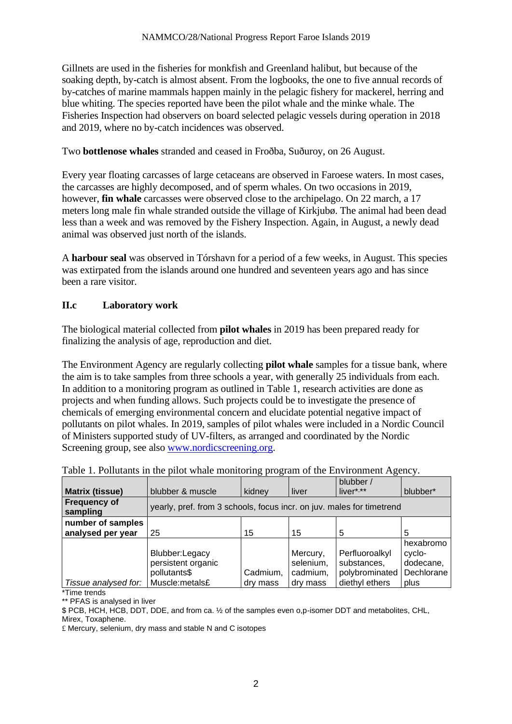Gillnets are used in the fisheries for monkfish and Greenland halibut, but because of the soaking depth, by-catch is almost absent. From the logbooks, the one to five annual records of by-catches of marine mammals happen mainly in the pelagic fishery for mackerel, herring and blue whiting. The species reported have been the pilot whale and the minke whale. The Fisheries Inspection had observers on board selected pelagic vessels during operation in 2018 and 2019, where no by-catch incidences was observed.

Two **bottlenose whales** stranded and ceased in Froðba, Suðuroy, on 26 August.

Every year floating carcasses of large cetaceans are observed in Faroese waters. In most cases, the carcasses are highly decomposed, and of sperm whales. On two occasions in 2019, however, **fin whale** carcasses were observed close to the archipelago. On 22 march, a 17 meters long male fin whale stranded outside the village of Kirkjubø. The animal had been dead less than a week and was removed by the Fishery Inspection. Again, in August, a newly dead animal was observed just north of the islands.

A **harbour seal** was observed in Tórshavn for a period of a few weeks, in August. This species was extirpated from the islands around one hundred and seventeen years ago and has since been a rare visitor.

## **II.c Laboratory work**

The biological material collected from **pilot whales** in 2019 has been prepared ready for finalizing the analysis of age, reproduction and diet.

The Environment Agency are regularly collecting **pilot whale** samples for a tissue bank, where the aim is to take samples from three schools a year, with generally 25 individuals from each. In addition to a monitoring program as outlined in Table 1, research activities are done as projects and when funding allows. Such projects could be to investigate the presence of chemicals of emerging environmental concern and elucidate potential negative impact of pollutants on pilot whales. In 2019, samples of pilot whales were included in a Nordic Council of Ministers supported study of UV-filters, as arranged and coordinated by the Nordic Screening group, see also [www.nordicscreening.org.](http://www.nordicscreening.org/)

|                                 |                                                                       |          |           | blubber /      |            |
|---------------------------------|-----------------------------------------------------------------------|----------|-----------|----------------|------------|
| <b>Matrix (tissue)</b>          | blubber & muscle                                                      | kidney   | liver     | $liver$ ***    | blubber*   |
| <b>Frequency of</b><br>sampling | yearly, pref. from 3 schools, focus incr. on juv. males for timetrend |          |           |                |            |
| number of samples               |                                                                       |          |           |                |            |
| analysed per year               | 25                                                                    | 15       | 15        | 5              | 5          |
|                                 |                                                                       |          |           |                | hexabromo  |
|                                 | Blubber:Legacy                                                        |          | Mercury,  | Perfluoroalkyl | cyclo-     |
|                                 | persistent organic                                                    |          | selenium, | substances,    | dodecane,  |
|                                 | pollutants\$                                                          | Cadmium, | cadmium,  | polybrominated | Dechlorane |
| Tissue analysed for:            | Muscle:metals£                                                        | dry mass | dry mass  | diethyl ethers | plus       |

| Table 1. Pollutants in the pilot whale monitoring program of the Environment Agency. |
|--------------------------------------------------------------------------------------|
|--------------------------------------------------------------------------------------|

\*Time trends

\*\* PFAS is analysed in liver

\$ PCB, HCH, HCB, DDT, DDE, and from ca. ½ of the samples even o,p-isomer DDT and metabolites, CHL, Mirex, Toxaphene.

£ Mercury, selenium, dry mass and stable N and C isotopes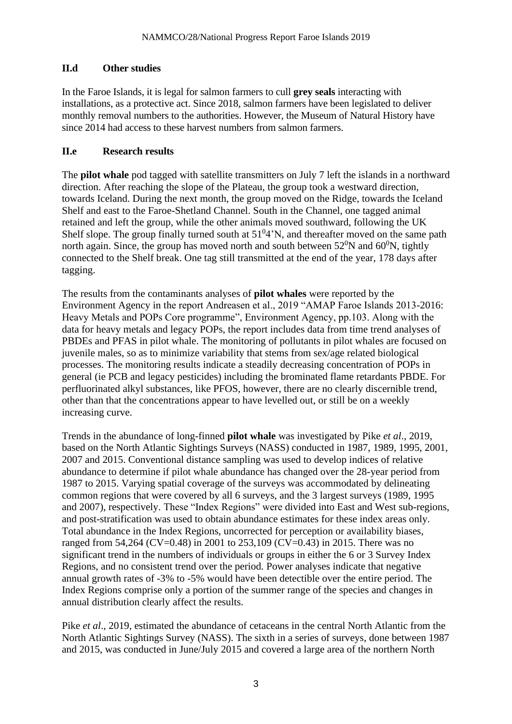### **II.d Other studies**

In the Faroe Islands, it is legal for salmon farmers to cull **grey seals** interacting with installations, as a protective act. Since 2018, salmon farmers have been legislated to deliver monthly removal numbers to the authorities. However, the Museum of Natural History have since 2014 had access to these harvest numbers from salmon farmers.

### **II.e Research results**

The **pilot whale** pod tagged with satellite transmitters on July 7 left the islands in a northward direction. After reaching the slope of the Plateau, the group took a westward direction, towards Iceland. During the next month, the group moved on the Ridge, towards the Iceland Shelf and east to the Faroe-Shetland Channel. South in the Channel, one tagged animal retained and left the group, while the other animals moved southward, following the UK Shelf slope. The group finally turned south at  $51<sup>0</sup>4'N$ , and thereafter moved on the same path north again. Since, the group has moved north and south between  $52^0$ N and  $60^0$ N, tightly connected to the Shelf break. One tag still transmitted at the end of the year, 178 days after tagging.

The results from the contaminants analyses of **pilot whales** were reported by the Environment Agency in the report Andreasen et al., 2019 "AMAP Faroe Islands 2013-2016: Heavy Metals and POPs Core programme", Environment Agency, pp.103. Along with the data for heavy metals and legacy POPs, the report includes data from time trend analyses of PBDEs and PFAS in pilot whale. The monitoring of pollutants in pilot whales are focused on juvenile males, so as to minimize variability that stems from sex/age related biological processes. The monitoring results indicate a steadily decreasing concentration of POPs in general (ie PCB and legacy pesticides) including the brominated flame retardants PBDE. For perfluorinated alkyl substances, like PFOS, however, there are no clearly discernible trend, other than that the concentrations appear to have levelled out, or still be on a weekly increasing curve.

Trends in the abundance of long-finned **pilot whale** was investigated by Pike *et al*., 2019, based on the North Atlantic Sightings Surveys (NASS) conducted in 1987, 1989, 1995, 2001, 2007 and 2015. Conventional distance sampling was used to develop indices of relative abundance to determine if pilot whale abundance has changed over the 28-year period from 1987 to 2015. Varying spatial coverage of the surveys was accommodated by delineating common regions that were covered by all 6 surveys, and the 3 largest surveys (1989, 1995 and 2007), respectively. These "Index Regions" were divided into East and West sub-regions, and post-stratification was used to obtain abundance estimates for these index areas only. Total abundance in the Index Regions, uncorrected for perception or availability biases, ranged from 54,264 (CV=0.48) in 2001 to 253,109 (CV=0.43) in 2015. There was no significant trend in the numbers of individuals or groups in either the 6 or 3 Survey Index Regions, and no consistent trend over the period. Power analyses indicate that negative annual growth rates of -3% to -5% would have been detectible over the entire period. The Index Regions comprise only a portion of the summer range of the species and changes in annual distribution clearly affect the results.

Pike *et al*., 2019, estimated the abundance of cetaceans in the central North Atlantic from the North Atlantic Sightings Survey (NASS). The sixth in a series of surveys, done between 1987 and 2015, was conducted in June/July 2015 and covered a large area of the northern North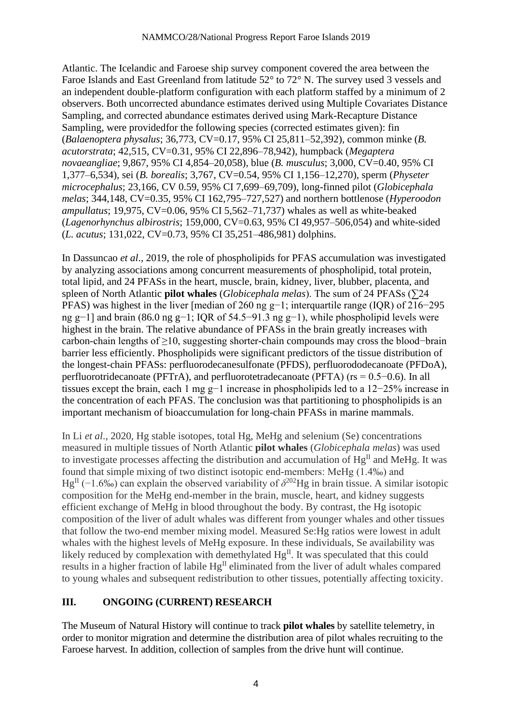Atlantic. The Icelandic and Faroese ship survey component covered the area between the Faroe Islands and East Greenland from latitude 52° to 72° N. The survey used 3 vessels and an independent double-platform configuration with each platform staffed by a minimum of 2 observers. Both uncorrected abundance estimates derived using Multiple Covariates Distance Sampling, and corrected abundance estimates derived using Mark-Recapture Distance Sampling, were providedfor the following species (corrected estimates given): fin (*Balaenoptera physalus*; 36,773, CV=0.17, 95% CI 25,811–52,392), common minke (*B. acutorstrata*; 42,515, CV=0.31, 95% CI 22,896–78,942), humpback (*Megaptera novaeangliae*; 9,867, 95% CI 4,854–20,058), blue (*B. musculus*; 3,000, CV=0.40, 95% CI 1,377–6,534), sei (*B. borealis*; 3,767, CV=0.54, 95% CI 1,156–12,270), sperm (*Physeter microcephalus*; 23,166, CV 0.59, 95% CI 7,699–69,709), long-finned pilot (*Globicephala melas*; 344,148, CV=0.35, 95% CI 162,795–727,527) and northern bottlenose (*Hyperoodon ampullatus*; 19,975, CV=0.06, 95% CI 5,562–71,737) whales as well as white-beaked (*Lagenorhynchus albirostris*; 159,000, CV=0.63, 95% CI 49,957–506,054) and white-sided (*L. acutus*; 131,022, CV=0.73, 95% CI 35,251–486,981) dolphins.

In Dassuncao *et al*., 2019, the role of phospholipids for PFAS accumulation was investigated by analyzing associations among concurrent measurements of phospholipid, total protein, total lipid, and 24 PFASs in the heart, muscle, brain, kidney, liver, blubber, placenta, and spleen of North Atlantic **pilot whales** (*Globicephala melas*). The sum of 24 PFASs (∑24 PFAS) was highest in the liver [median of 260 ng g−1; interquartile range (IQR) of 216−295 ng g−1] and brain (86.0 ng g−1; IQR of 54.5−91.3 ng g−1), while phospholipid levels were highest in the brain. The relative abundance of PFASs in the brain greatly increases with carbon-chain lengths of ≥10, suggesting shorter-chain compounds may cross the blood−brain barrier less efficiently. Phospholipids were significant predictors of the tissue distribution of the longest-chain PFASs: perfluorodecanesulfonate (PFDS), perfluorododecanoate (PFDoA), perfluorotridecanoate (PFTrA), and perfluorotetradecanoate (PFTA) (rs = 0.5−0.6). In all tissues except the brain, each 1 mg g−1 increase in phospholipids led to a 12−25% increase in the concentration of each PFAS. The conclusion was that partitioning to phospholipids is an important mechanism of bioaccumulation for long-chain PFASs in marine mammals.

In Li *et al*., 2020, Hg stable isotopes, total Hg, MeHg and selenium (Se) concentrations measured in multiple tissues of North Atlantic **pilot whales** (*Globicephala melas*) was used to investigate processes affecting the distribution and accumulation of  $Hg<sup>H</sup>$  and MeHg. It was found that simple mixing of two distinct isotopic end-members: MeHg (1.4‰) and Hg<sup>II</sup> (−1.6‰) can explain the observed variability of  $\delta^{202}$ Hg in brain tissue. A similar isotopic composition for the MeHg end-member in the brain, muscle, heart, and kidney suggests efficient exchange of MeHg in blood throughout the body. By contrast, the Hg isotopic composition of the liver of adult whales was different from younger whales and other tissues that follow the two-end member mixing model. Measured Se:Hg ratios were lowest in adult whales with the highest levels of MeHg exposure. In these individuals, Se availability was likely reduced by complexation with demethylated  $Hg^{II}$ . It was speculated that this could results in a higher fraction of labile  $Hg^{\text{II}}$  eliminated from the liver of adult whales compared to young whales and subsequent redistribution to other tissues, potentially affecting toxicity.

#### **III. ONGOING (CURRENT) RESEARCH**

The Museum of Natural History will continue to track **pilot whales** by satellite telemetry, in order to monitor migration and determine the distribution area of pilot whales recruiting to the Faroese harvest. In addition, collection of samples from the drive hunt will continue.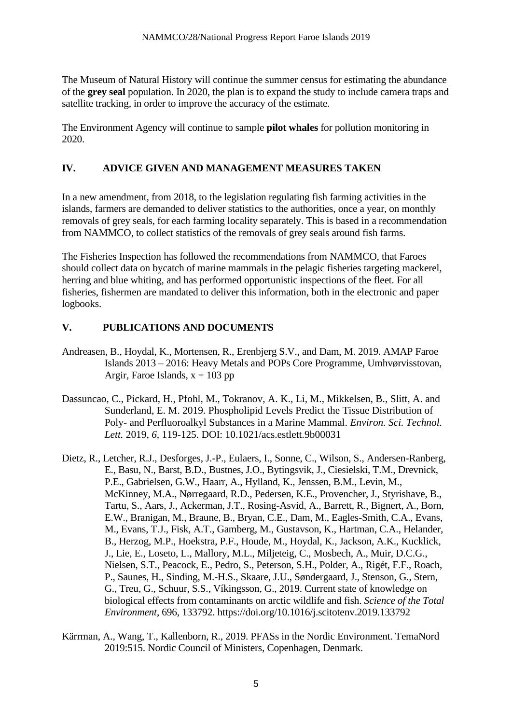The Museum of Natural History will continue the summer census for estimating the abundance of the **grey seal** population. In 2020, the plan is to expand the study to include camera traps and satellite tracking, in order to improve the accuracy of the estimate.

The Environment Agency will continue to sample **pilot whales** for pollution monitoring in 2020.

### **IV. ADVICE GIVEN AND MANAGEMENT MEASURES TAKEN**

In a new amendment, from 2018, to the legislation regulating fish farming activities in the islands, farmers are demanded to deliver statistics to the authorities, once a year, on monthly removals of grey seals, for each farming locality separately. This is based in a recommendation from NAMMCO, to collect statistics of the removals of grey seals around fish farms.

The Fisheries Inspection has followed the recommendations from NAMMCO, that Faroes should collect data on bycatch of marine mammals in the pelagic fisheries targeting mackerel, herring and blue whiting, and has performed opportunistic inspections of the fleet. For all fisheries, fishermen are mandated to deliver this information, both in the electronic and paper logbooks.

### **V. PUBLICATIONS AND DOCUMENTS**

- Andreasen, B., Hoydal, K., Mortensen, R., Erenbjerg S.V., and Dam, M. 2019. AMAP Faroe Islands 2013 – 2016: Heavy Metals and POPs Core Programme, Umhvørvisstovan, Argir, Faroe Islands,  $x + 103$  pp
- Dassuncao, C., Pickard, H., Pfohl, M., Tokranov, A. K., Li, M., Mikkelsen, B., Slitt, A. and Sunderland, E. M. 2019. Phospholipid Levels Predict the Tissue Distribution of Poly- and Perfluoroalkyl Substances in a Marine Mammal. *Environ. Sci. Technol. Lett.* 2019, *6,* 119-125. DOI: 10.1021/acs.estlett.9b00031
- Dietz, R., Letcher, R.J., Desforges, J.-P., Eulaers, I., Sonne, C., Wilson, S., Andersen-Ranberg, E., Basu, N., Barst, B.D., Bustnes, J.O., Bytingsvik, J., Ciesielski, T.M., Drevnick, P.E., Gabrielsen, G.W., Haarr, A., Hylland, K., Jenssen, B.M., Levin, M., McKinney, M.A., Nørregaard, R.D., Pedersen, K.E., Provencher, J., Styrishave, B., Tartu, S., Aars, J., Ackerman, J.T., Rosing-Asvid, A., Barrett, R., Bignert, A., Born, E.W., Branigan, M., Braune, B., Bryan, C.E., Dam, M., Eagles-Smith, C.A., Evans, M., Evans, T.J., Fisk, A.T., Gamberg, M., Gustavson, K., Hartman, C.A., Helander, B., Herzog, M.P., Hoekstra, P.F., Houde, M., Hoydal, K., Jackson, A.K., Kucklick, J., Lie, E., Loseto, L., Mallory, M.L., Miljeteig, C., Mosbech, A., Muir, D.C.G., Nielsen, S.T., Peacock, E., Pedro, S., Peterson, S.H., Polder, A., Rigét, F.F., Roach, P., Saunes, H., Sinding, M.-H.S., Skaare, J.U., Søndergaard, J., Stenson, G., Stern, G., Treu, G., Schuur, S.S., Víkingsson, G., 2019. Current state of knowledge on biological effects from contaminants on arctic wildlife and fish. *Science of the Total Environment*, 696, 133792. https://doi.org/10.1016/j.scitotenv.2019.133792
- Kärrman, A., Wang, T., Kallenborn, R., 2019. PFASs in the Nordic Environment. TemaNord 2019:515. Nordic Council of Ministers, Copenhagen, Denmark.